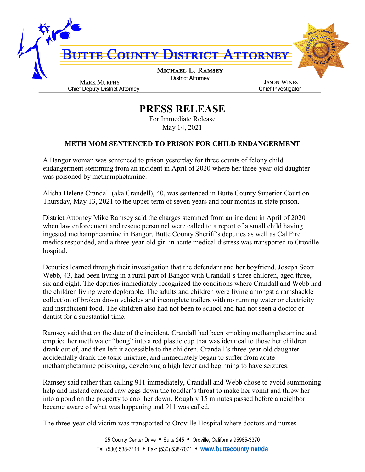

## **PRESS RELEASE**

For Immediate Release May 14, 2021

## **METH MOM SENTENCED TO PRISON FOR CHILD ENDANGERMENT**

A Bangor woman was sentenced to prison yesterday for three counts of felony child endangerment stemming from an incident in April of 2020 where her three-year-old daughter was poisoned by methamphetamine.

Alisha Helene Crandall (aka Crandell), 40, was sentenced in Butte County Superior Court on Thursday, May 13, 2021 to the upper term of seven years and four months in state prison.

District Attorney Mike Ramsey said the charges stemmed from an incident in April of 2020 when law enforcement and rescue personnel were called to a report of a small child having ingested methamphetamine in Bangor. Butte County Sheriff's deputies as well as Cal Fire medics responded, and a three-year-old girl in acute medical distress was transported to Oroville hospital.

Deputies learned through their investigation that the defendant and her boyfriend, Joseph Scott Webb, 43, had been living in a rural part of Bangor with Crandall's three children, aged three, six and eight. The deputies immediately recognized the conditions where Crandall and Webb had the children living were deplorable. The adults and children were living amongst a ramshackle collection of broken down vehicles and incomplete trailers with no running water or electricity and insufficient food. The children also had not been to school and had not seen a doctor or dentist for a substantial time.

Ramsey said that on the date of the incident, Crandall had been smoking methamphetamine and emptied her meth water "bong" into a red plastic cup that was identical to those her children drank out of, and then left it accessible to the children. Crandall's three-year-old daughter accidentally drank the toxic mixture, and immediately began to suffer from acute methamphetamine poisoning, developing a high fever and beginning to have seizures.

Ramsey said rather than calling 911 immediately, Crandall and Webb chose to avoid summoning help and instead cracked raw eggs down the toddler's throat to make her vomit and threw her into a pond on the property to cool her down. Roughly 15 minutes passed before a neighbor became aware of what was happening and 911 was called.

The three-year-old victim was transported to Oroville Hospital where doctors and nurses